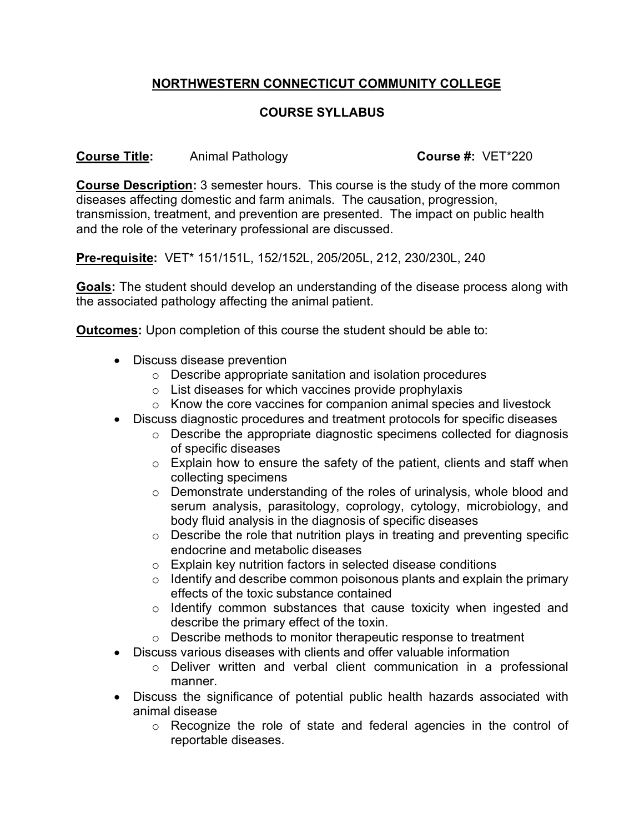## **NORTHWESTERN CONNECTICUT COMMUNITY COLLEGE**

## **COURSE SYLLABUS**

**Course Title:** Animal Pathology **Course #:** VET\*220

**Course Description:** 3 semester hours. This course is the study of the more common diseases affecting domestic and farm animals. The causation, progression, transmission, treatment, and prevention are presented. The impact on public health and the role of the veterinary professional are discussed.

**Pre-requisite:** VET\* 151/151L, 152/152L, 205/205L, 212, 230/230L, 240

**Goals:** The student should develop an understanding of the disease process along with the associated pathology affecting the animal patient.

**Outcomes:** Upon completion of this course the student should be able to:

- Discuss disease prevention
	- o Describe appropriate sanitation and isolation procedures
	- $\circ$  List diseases for which vaccines provide prophylaxis
	- o Know the core vaccines for companion animal species and livestock
- Discuss diagnostic procedures and treatment protocols for specific diseases
	- o Describe the appropriate diagnostic specimens collected for diagnosis of specific diseases
	- o Explain how to ensure the safety of the patient, clients and staff when collecting specimens
	- o Demonstrate understanding of the roles of urinalysis, whole blood and serum analysis, parasitology, coprology, cytology, microbiology, and body fluid analysis in the diagnosis of specific diseases
	- o Describe the role that nutrition plays in treating and preventing specific endocrine and metabolic diseases
	- o Explain key nutrition factors in selected disease conditions
	- $\circ$  Identify and describe common poisonous plants and explain the primary effects of the toxic substance contained
	- o Identify common substances that cause toxicity when ingested and describe the primary effect of the toxin.
	- o Describe methods to monitor therapeutic response to treatment
- Discuss various diseases with clients and offer valuable information
	- o Deliver written and verbal client communication in a professional manner.
- Discuss the significance of potential public health hazards associated with animal disease
	- o Recognize the role of state and federal agencies in the control of reportable diseases.